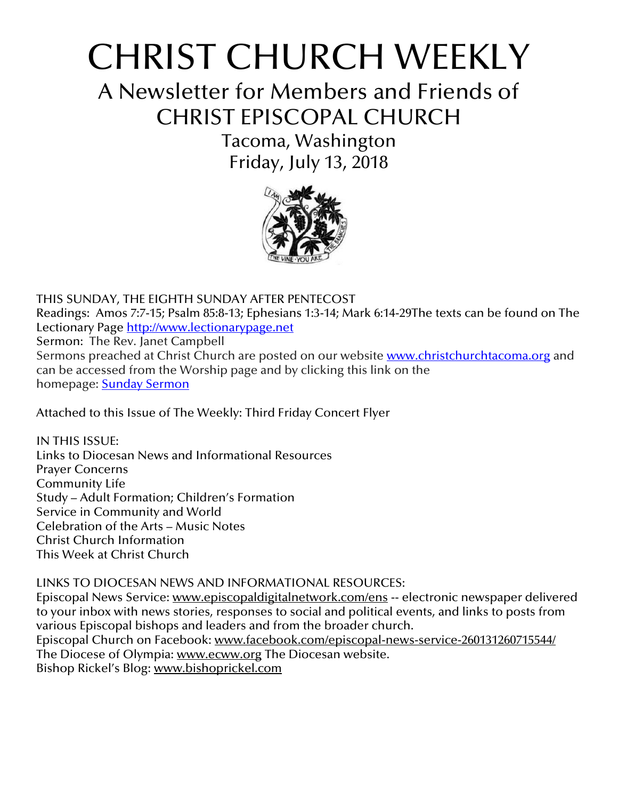# CHRIST CHURCH WEEKLY

A Newsletter for Members and Friends of CHRIST EPISCOPAL CHURCH

> Tacoma, Washington Friday, July 13, 2018



THIS SUNDAY, THE EIGHTH SUNDAY AFTER PENTECOST Readings: Amos 7:7-15; Psalm 85:8-13; Ephesians 1:3-14; Mark 6:14-29The texts can be found on The Lectionary Page [http://www.lectionarypage.net](http://www.lectionarypage.net/) Sermon: The Rev. Janet Campbell Sermons preached at Christ Church are posted on our website [www.christchurchtacoma.org](http://www.christchurchtacoma.org/) and can be accessed from the Worship page and by clicking this link on the homepage: Sunday [Sermon](https://christchurchtacoma.org/worship/sermons/)

Attached to this Issue of The Weekly: Third Friday Concert Flyer

IN THIS ISSUE: Links to Diocesan News and Informational Resources Prayer Concerns Community Life Study – Adult Formation; Children's Formation Service in Community and World Celebration of the Arts – Music Notes Christ Church Information This Week at Christ Church

## LINKS TO DIOCESAN NEWS AND INFORMATIONAL RESOURCES:

Episcopal News Service: [www.episcopaldigitalnetwork.com/ens](http://www.episcopaldigitalnetwork.com/ens) -- electronic newspaper delivered to your inbox with news stories, responses to social and political events, and links to posts from various Episcopal bishops and leaders and from the broader church. Episcopal Church on Facebook: [www.facebook.com/episcopal-news-service-260131260715544/](http://www.facebook.com/episcopal-news-service-260131260715544/) The Diocese of Olympia: [www.ecww.org](http://www.ecww.org/) The Diocesan website.

Bishop Rickel's Blog: [www.bishoprickel.com](http://www.bishoprickel.com/)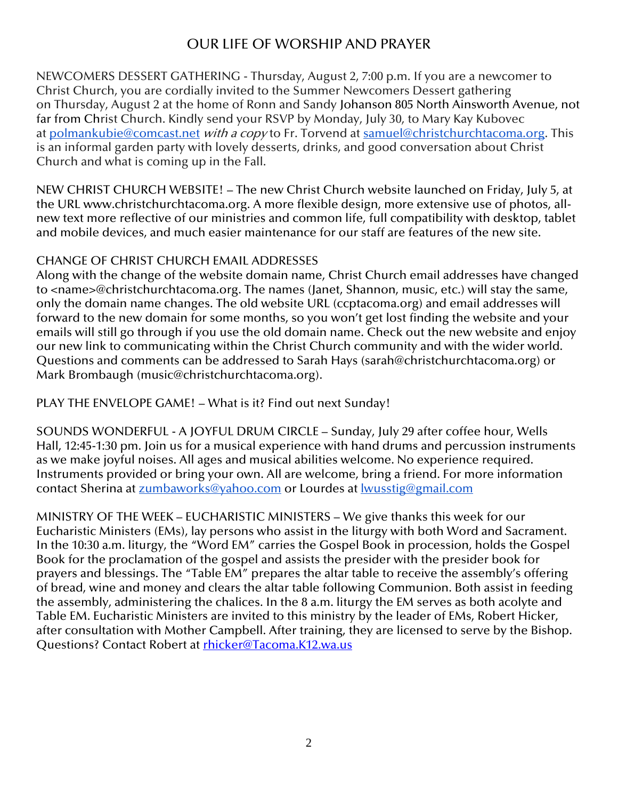# OUR LIFE OF WORSHIP AND PRAYER

NEWCOMERS DESSERT GATHERING - Thursday, August 2, 7:00 p.m. If you are a newcomer to Christ Church, you are cordially invited to the Summer Newcomers Dessert gathering on Thursday, August 2 at the home of Ronn and Sandy Johanson 805 North Ainsworth Avenue, not far from Christ Church. Kindly send your RSVP by Monday, July 30, to Mary Kay Kubovec at [polmankubie@comcast.net](mailto:polmankubie@comcast.net) with a copy to Fr. Torvend at [samuel@christchurchtacoma.org.](mailto:samuel@christchurchtacoma.org) This is an informal garden party with lovely desserts, drinks, and good conversation about Christ Church and what is coming up in the Fall.

NEW CHRIST CHURCH WEBSITE! – The new Christ Church website launched on Friday, July 5, at the URL www.christchurchtacoma.org. A more flexible design, more extensive use of photos, allnew text more reflective of our ministries and common life, full compatibility with desktop, tablet and mobile devices, and much easier maintenance for our staff are features of the new site.

## CHANGE OF CHRIST CHURCH EMAIL ADDRESSES

Along with the change of the website domain name, Christ Church email addresses have changed to <name>@christchurchtacoma.org. The names (Janet, Shannon, music, etc.) will stay the same, only the domain name changes. The old website URL (ccptacoma.org) and email addresses will forward to the new domain for some months, so you won't get lost finding the website and your emails will still go through if you use the old domain name. Check out the new website and enjoy our new link to communicating within the Christ Church community and with the wider world. Questions and comments can be addressed to Sarah Hays (sarah@christchurchtacoma.org) or Mark Brombaugh (music@christchurchtacoma.org).

PLAY THE ENVELOPE GAME! – What is it? Find out next Sunday!

SOUNDS WONDERFUL - A JOYFUL DRUM CIRCLE – Sunday, July 29 after coffee hour, Wells Hall, 12:45-1:30 pm. Join us for a musical experience with hand drums and percussion instruments as we make joyful noises. All ages and musical abilities welcome. No experience required. Instruments provided or bring your own. All are welcome, bring a friend. For more information contact Sherina at [zumbaworks@yahoo.com](mailto:zumbaworks@yahoo.com) or Lourdes at **Iwusstig@gmail.com** 

MINISTRY OF THE WEEK – EUCHARISTIC MINISTERS – We give thanks this week for our Eucharistic Ministers (EMs), lay persons who assist in the liturgy with both Word and Sacrament. In the 10:30 a.m. liturgy, the "Word EM" carries the Gospel Book in procession, holds the Gospel Book for the proclamation of the gospel and assists the presider with the presider book for prayers and blessings. The "Table EM" prepares the altar table to receive the assembly's offering of bread, wine and money and clears the altar table following Communion. Both assist in feeding the assembly, administering the chalices. In the 8 a.m. liturgy the EM serves as both acolyte and Table EM. Eucharistic Ministers are invited to this ministry by the leader of EMs, Robert Hicker, after consultation with Mother Campbell. After training, they are licensed to serve by the Bishop. Questions? Contact Robert at [rhicker@Tacoma.K12.wa.us](mailto:rhicker@Tacoma.K12.wa.us)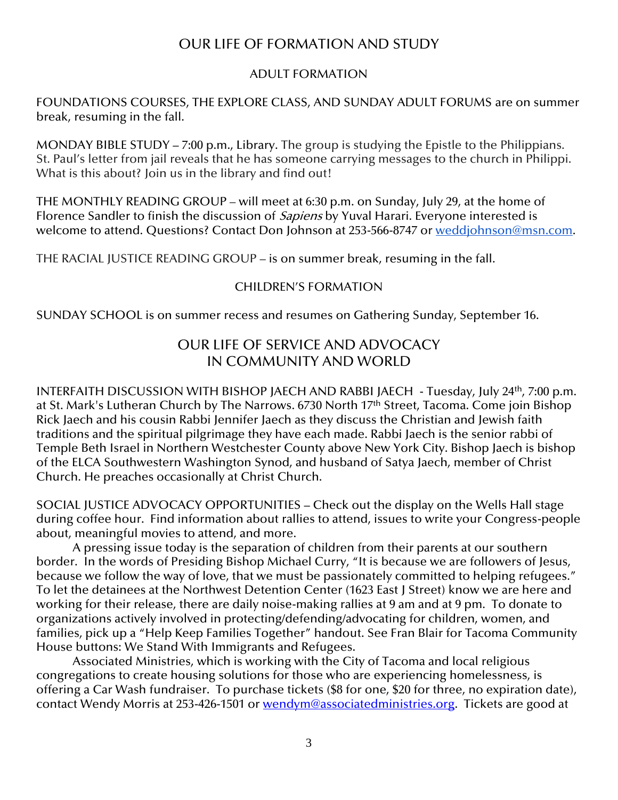## OUR LIFE OF FORMATION AND STUDY

#### ADULT FORMATION

FOUNDATIONS COURSES, THE EXPLORE CLASS, AND SUNDAY ADULT FORUMS are on summer break, resuming in the fall.

MONDAY BIBLE STUDY – 7:00 p.m., Library. The group is studying the Epistle to the Philippians. St. Paul's letter from jail reveals that he has someone carrying messages to the church in Philippi. What is this about? Join us in the library and find out!

THE MONTHLY READING GROUP – will meet at 6:30 p.m. on Sunday, July 29, at the home of Florence Sandler to finish the discussion of *Sapiens* by Yuval Harari. Everyone interested is welcome to attend. Questions? Contact Don Johnson at 253-566-8747 or [weddjohnson@msn.com.](mailto:weddjohnson@msn.com)

THE RACIAL JUSTICE READING GROUP – is on summer break, resuming in the fall.

## CHILDREN'S FORMATION

SUNDAY SCHOOL is on summer recess and resumes on Gathering Sunday, September 16.

## OUR LIFE OF SERVICE AND ADVOCACY IN COMMUNITY AND WORLD

INTERFAITH DISCUSSION WITH BISHOP JAECH AND RABBI JAECH - Tuesday, July 24th, 7:00 p.m. at St. Mark's Lutheran Church by The Narrows. 6730 North 17<sup>th</sup> Street, Tacoma. Come join Bishop Rick Jaech and his cousin Rabbi Jennifer Jaech as they discuss the Christian and Jewish faith traditions and the spiritual pilgrimage they have each made. Rabbi Jaech is the senior rabbi of Temple Beth Israel in Northern Westchester County above New York City. Bishop Jaech is bishop of the ELCA Southwestern Washington Synod, and husband of Satya Jaech, member of Christ Church. He preaches occasionally at Christ Church.

SOCIAL JUSTICE ADVOCACY OPPORTUNITIES – Check out the display on the Wells Hall stage during coffee hour. Find information about rallies to attend, issues to write your Congress-people about, meaningful movies to attend, and more.

A pressing issue today is the separation of children from their parents at our southern border. In the words of Presiding Bishop Michael Curry, "It is because we are followers of Jesus, because we follow the way of love, that we must be passionately committed to helping refugees." To let the detainees at the Northwest Detention Center (1623 East J Street) know we are here and working for their release, there are daily noise-making rallies at 9 am and at 9 pm. To donate to organizations actively involved in protecting/defending/advocating for children, women, and families, pick up a "Help Keep Families Together" handout. See Fran Blair for Tacoma Community House buttons: We Stand With Immigrants and Refugees.

Associated Ministries, which is working with the City of Tacoma and local religious congregations to create housing solutions for those who are experiencing homelessness, is offering a Car Wash fundraiser. To purchase tickets (\$8 for one, \$20 for three, no expiration date), contact Wendy Morris at 253-426-1501 or [wendym@associatedministries.org.](mailto:wendym@associatedministries.org) Tickets are good at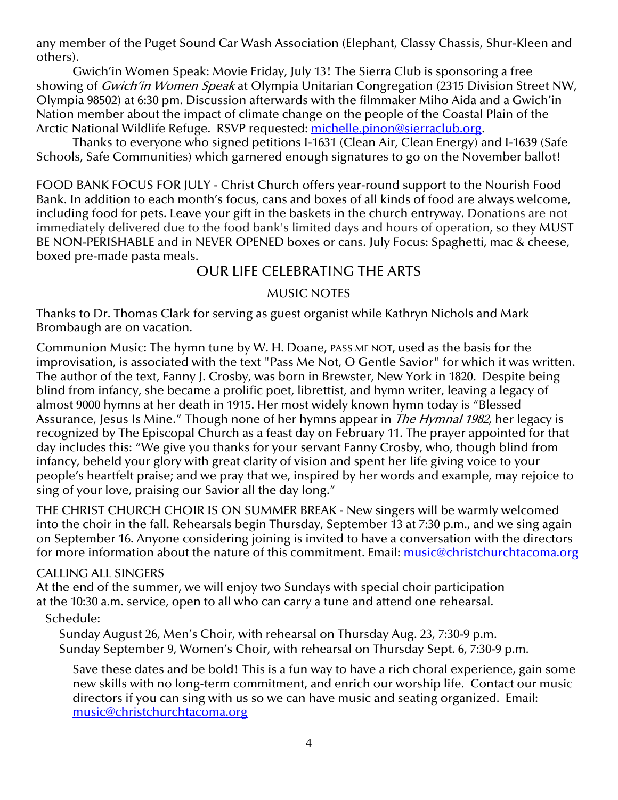any member of the Puget Sound Car Wash Association (Elephant, Classy Chassis, Shur-Kleen and others).

Gwich'in Women Speak: Movie Friday, July 13! The Sierra Club is sponsoring a free showing of *Gwich'in Women Speak* at Olympia Unitarian Congregation (2315 Division Street NW, Olympia 98502) at 6:30 pm. Discussion afterwards with the filmmaker Miho Aida and a Gwich'in Nation member about the impact of climate change on the people of the Coastal Plain of the Arctic National Wildlife Refuge. RSVP requested: [michelle.pinon@sierraclub.org.](mailto:michelle.pinon@sierraclub.org)

Thanks to everyone who signed petitions I-1631 (Clean Air, Clean Energy) and I-1639 (Safe Schools, Safe Communities) which garnered enough signatures to go on the November ballot!

FOOD BANK FOCUS FOR JULY - Christ Church offers year-round support to the Nourish Food Bank. In addition to each month's focus, cans and boxes of all kinds of food are always welcome, including food for pets. Leave your gift in the baskets in the church entryway. Donations are not immediately delivered due to the food bank's limited days and hours of operation, so they MUST BE NON-PERISHABLE and in NEVER OPENED boxes or cans. July Focus: Spaghetti, mac & cheese, boxed pre-made pasta meals.

## OUR LIFE CELEBRATING THE ARTS

#### MUSIC NOTES

Thanks to Dr. Thomas Clark for serving as guest organist while Kathryn Nichols and Mark Brombaugh are on vacation.

Communion Music: The hymn tune by W. H. Doane, PASS ME NOT, used as the basis for the improvisation, is associated with the text "Pass Me Not, O Gentle Savior" for which it was written. The author of the text, Fanny J. Crosby, was born in Brewster, New York in 1820. Despite being blind from infancy, she became a prolific poet, librettist, and hymn writer, leaving a legacy of almost 9000 hymns at her death in 1915. Her most widely known hymn today is "Blessed Assurance, Jesus Is Mine." Though none of her hymns appear in *The Hymnal 1982*, her legacy is recognized by The Episcopal Church as a feast day on February 11. The prayer appointed for that day includes this: "We give you thanks for your servant Fanny Crosby, who, though blind from infancy, beheld your glory with great clarity of vision and spent her life giving voice to your people's heartfelt praise; and we pray that we, inspired by her words and example, may rejoice to sing of your love, praising our Savior all the day long."

THE CHRIST CHURCH CHOIR IS ON SUMMER BREAK - New singers will be warmly welcomed into the choir in the fall. Rehearsals begin Thursday, September 13 at 7:30 p.m., and we sing again on September 16. Anyone considering joining is invited to have a conversation with the directors for more information about the nature of this commitment. Email: [music@christchurchtacoma.org](mailto:music@christchurchtacoma.org)

#### CALLING ALL SINGERS

At the end of the summer, we will enjoy two Sundays with special choir participation at the 10:30 a.m. service, open to all who can carry a tune and attend one rehearsal.

## Schedule:

Sunday August 26, Men's Choir, with rehearsal on Thursday Aug. 23, 7:30-9 p.m. Sunday September 9, Women's Choir, with rehearsal on Thursday Sept. 6, 7:30-9 p.m.

Save these dates and be bold! This is a fun way to have a rich choral experience, gain some new skills with no long-term commitment, and enrich our worship life. Contact our music directors if you can sing with us so we can have music and seating organized. Email: [music@christchurchtacoma.org](mailto:music@christchurchtacoma.org)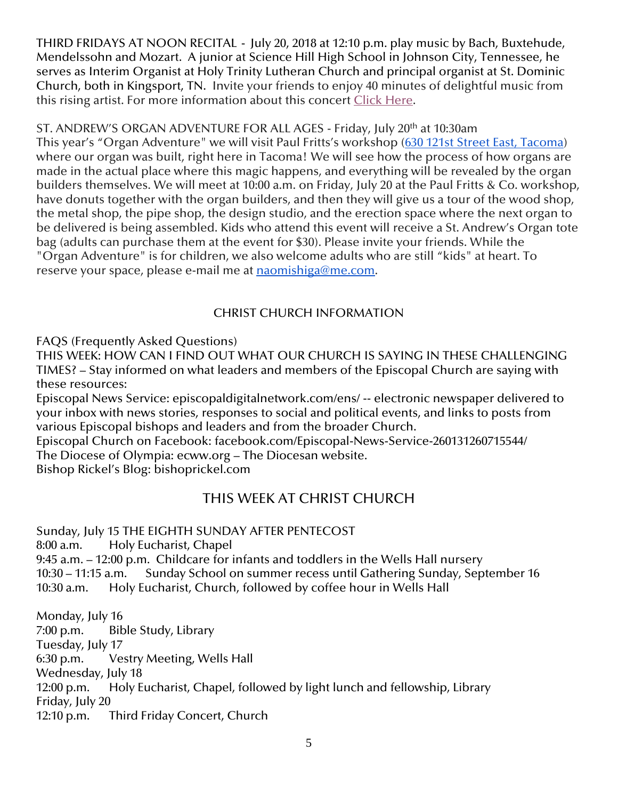THIRD FRIDAYS AT NOON RECITAL - July 20, 2018 at 12:10 p.m. play music by Bach, Buxtehude, Mendelssohn and Mozart. A junior at Science Hill High School in Johnson City, Tennessee, he serves as Interim Organist at Holy Trinity Lutheran Church and principal organist at St. Dominic Church, both in Kingsport, TN. Invite your friends to enjoy 40 minutes of delightful music from this rising artist. For more information about this concert [Click Here.](https://christchurchtacoma.org/event/third-fridays-at-noon-c/)

## ST. ANDREW'S ORGAN ADVENTURE FOR ALL AGES - Friday, July 20<sup>th</sup> at 10:30am

This year's "Organ Adventure" we will visit Paul Fritts's workshop ([630 121st Street East, Tacoma\)](https://maps.google.com/?q=630+121st+Street+East,+Tacoma&entry=gmail&source=g) where our organ was built, right here in Tacoma! We will see how the process of how organs are made in the actual place where this magic happens, and everything will be revealed by the organ builders themselves. We will meet at 10:00 a.m. on Friday, July 20 at the Paul Fritts & Co. workshop, have donuts together with the organ builders, and then they will give us a tour of the wood shop, the metal shop, the pipe shop, the design studio, and the erection space where the next organ to be delivered is being assembled. Kids who attend this event will receive a St. Andrew's Organ tote bag (adults can purchase them at the event for \$30). Please invite your friends. While the "Organ Adventure" is for children, we also welcome adults who are still "kids" at heart. To reserve your space, please e-mail me at [naomishiga@me.com.](mailto:naomishiga@me.com)

## CHRIST CHURCH INFORMATION

FAQS (Frequently Asked Questions)

THIS WEEK: HOW CAN I FIND OUT WHAT OUR CHURCH IS SAYING IN THESE CHALLENGING TIMES? – Stay informed on what leaders and members of the Episcopal Church are saying with these resources:

Episcopal News Service: episcopaldigitalnetwork.com/ens/ -- electronic newspaper delivered to your inbox with news stories, responses to social and political events, and links to posts from various Episcopal bishops and leaders and from the broader Church.

Episcopal Church on Facebook: facebook.com/Episcopal-News-Service-260131260715544/ The Diocese of Olympia: ecww.org – The Diocesan website.

Bishop Rickel's Blog: bishoprickel.com

# THIS WEEK AT CHRIST CHURCH

Sunday, July 15 THE EIGHTH SUNDAY AFTER PENTECOST 8:00 a.m. Holy Eucharist, Chapel 9:45 a.m. – 12:00 p.m. Childcare for infants and toddlers in the Wells Hall nursery 10:30 – 11:15 a.m. Sunday School on summer recess until Gathering Sunday, September 16 10:30 a.m. Holy Eucharist, Church, followed by coffee hour in Wells Hall

Monday, July 16 7:00 p.m. Bible Study, Library Tuesday, July 17 6:30 p.m. Vestry Meeting, Wells Hall Wednesday, July 18 12:00 p.m. Holy Eucharist, Chapel, followed by light lunch and fellowship, Library Friday, July 20 12:10 p.m. Third Friday Concert, Church